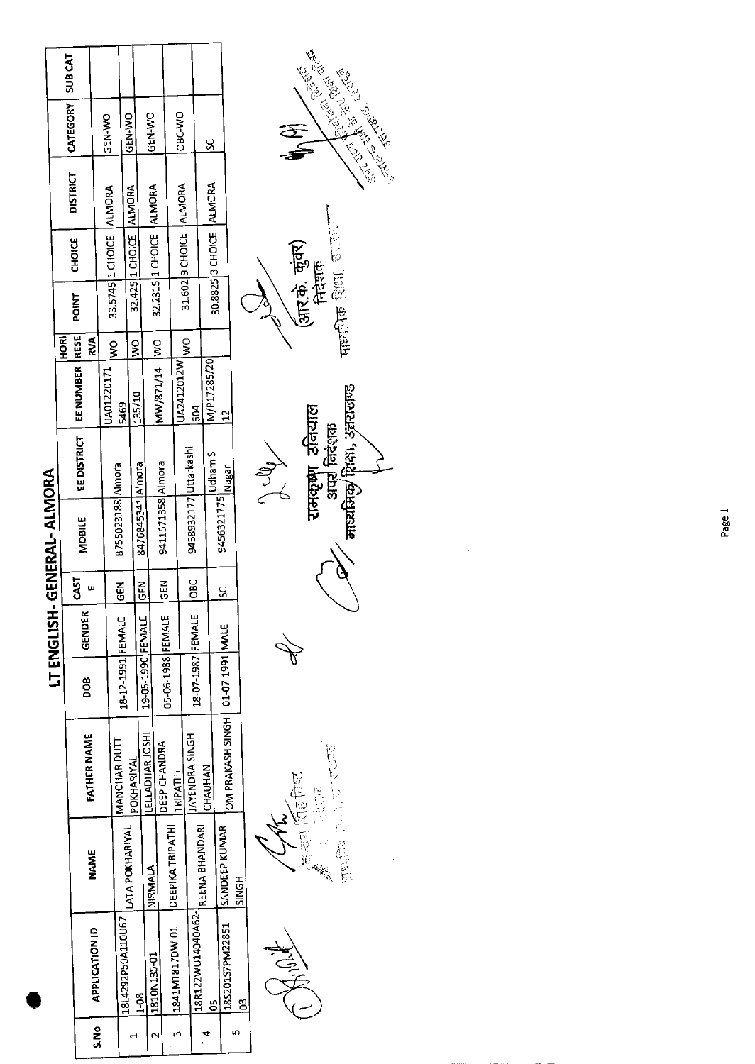|       |                                |                  |                                    |                   | LT ENGLISH    |               | H-GENERAL-ALMORA      |                                |               |               |                         |                        |                          |                    |  |
|-------|--------------------------------|------------------|------------------------------------|-------------------|---------------|---------------|-----------------------|--------------------------------|---------------|---------------|-------------------------|------------------------|--------------------------|--------------------|--|
|       |                                |                  |                                    |                   |               |               |                       |                                |               | <b>ROH</b>    |                         | <b>CHOICE</b>          | <b>DISTRICT</b>          | CATEGORY   SUB CAT |  |
|       |                                | NAME             | <b>FATHER NAME</b>                 | 80Q               | <b>GENDER</b> | <b>CAST</b>   | <b>MOBILE</b>         | EE DISTRICT   EE NUMBER   RESE |               | <b>RVA</b>    | POINT                   |                        |                          |                    |  |
| S.N.O | <b>APPLICATION ID</b>          |                  |                                    |                   |               |               |                       |                                | JA01220171    |               | 33.5745 1 CHOICE ALMORA |                        |                          | <b>IGEN-WO</b>     |  |
|       |                                |                  | MANOHAR DUTT                       |                   |               | $\frac{2}{3}$ | 8755023188 Almora     |                                |               | .<br>Ş        |                         |                        |                          |                    |  |
|       | 18L4292P50A110U67              | LATA POKHARIYAL  |                                    | 18-12-1991 FEMALE |               |               |                       |                                | 5469          |               |                         |                        |                          | ON-Y-N-D           |  |
|       | $\frac{3}{1}$                  |                  | POKHARIYAL                         |                   |               |               | 8476845341 Almora     |                                | 135/10        | $\frac{8}{5}$ |                         | 32.425 1 CHOICE ALMORA |                          |                    |  |
|       |                                |                  | LEELADHAR JOSHI                    | 19-05-1990 FEMALE |               | <b>GEN</b>    |                       |                                |               |               |                         |                        |                          |                    |  |
|       | 11810N135-01                   | NIRMALA          |                                    |                   |               |               |                       |                                | MW/871/14  WO |               | 32.2315 1 CHOICE ALMORA |                        |                          | <b>UCEN-VVO</b>    |  |
|       |                                |                  | <b>IDEEP CHANDRA</b>               | 05-06-1988 FEMALE |               | <b>AB</b>     | 9411571358 Almora     |                                |               |               |                         |                        |                          |                    |  |
|       | 12841MT817DW-01                | DEEPIKA TRIPATHI | <b>TRIPATHI</b>                    |                   |               |               |                       |                                | JA2412012W    |               |                         |                        |                          | OBC-WO             |  |
|       |                                |                  | <b>IJAYENDRA SINGH</b>             |                   |               | <u>sc</u>     | 9458932177 Uttarkashi |                                |               | o<br>W        |                         |                        | 31.602   9 CHOICE ALMORA |                    |  |
|       | 18R122WU14040A62-              | REENA BHANDARI   |                                    | 18-07-1987 FEMALE |               |               |                       |                                | 504           |               |                         |                        |                          |                    |  |
|       | ర్                             |                  | CHAUHAN                            |                   |               |               | 9456321775 Udham S    |                                | M/P17285/20   |               |                         |                        | 30.8825 3 CHOICE ALMORA  | <u>ي</u>           |  |
|       | 185201S7PM22851- SANDEEP KUMAR |                  | OM PRAKASH SINGH   01-07-1991 MALE |                   |               | <u>s</u>      |                       | Nagar                          | î             |               |                         |                        |                          |                    |  |
|       | $\mathbf{S}$                   | <b>SINGH</b>     |                                    |                   |               |               |                       |                                |               |               |                         |                        |                          |                    |  |
|       |                                |                  |                                    |                   |               |               |                       |                                |               |               | $\zeta$                 |                        |                          |                    |  |

्तिका (रहि विध्य<br>बुल्हे ने अज्ञात enter the first 

John 1  $\oint$ 

 $H(x)$  and  $H(x)$  and  $H(x)$ (आर.के. कुंवर)<br>निदेशक रामकूषा उनियाल<br>- अपर निदेशक<br>/ माध्यमिकु शिक्षा, उन्नरासण्ड

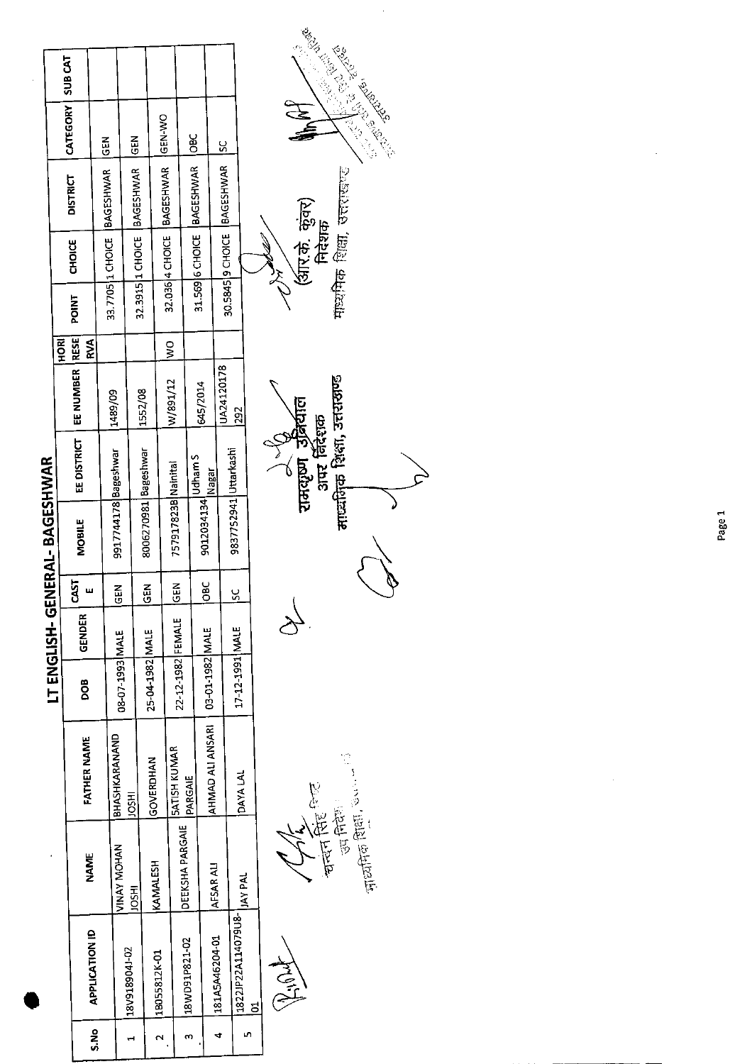|      |                                |                                                                                                                |                                |                   |                |             | IERAL-BAGESHWAR       |                             |            |               |                    |                  |                                                         |                                          |                |
|------|--------------------------------|----------------------------------------------------------------------------------------------------------------|--------------------------------|-------------------|----------------|-------------|-----------------------|-----------------------------|------------|---------------|--------------------|------------------|---------------------------------------------------------|------------------------------------------|----------------|
|      |                                |                                                                                                                |                                |                   | LT ENGLISH-GEN |             |                       |                             |            | HORI          |                    |                  | <b>DISTRICT</b>                                         | CATEGORY                                 | <b>SUB CAT</b> |
| S.No | <b>APPLICATION ID</b>          | <b>NAME</b>                                                                                                    | <b>FATHER NAME</b>             | <b>BOO</b>        | <b>GENDER</b>  | CAST        | MOBILE                | EE DISTRICT                 | EE NUMBER  | RESE)<br>RVA  | POINT              | CHOICE           |                                                         |                                          |                |
|      |                                |                                                                                                                | BHASHKARANAND                  |                   |                |             |                       |                             | 1489/09    |               | 33.7705 1 CHOICE   |                  | <b>BAGESHWAR</b>                                        | <b>KINO</b>                              |                |
| ٣    | 18V918904J-02                  | <b>VINAY MOHAN</b><br><b>IRSOL</b>                                                                             | <b>HSOL</b>                    | 3JAM   E66T-L0-80 |                | <b>KED</b>  | 9917744178 Bageshwar  |                             |            |               |                    |                  |                                                         | <b>EB</b>                                |                |
|      |                                |                                                                                                                | GOVERDHAN                      | 25-04-1982 MALE   |                | $rac{2}{3}$ | 8006270981 Bageshwar  |                             | 1552/08    |               | 32.3915   1 CHOICE |                  | <b>BAGESHWAR</b>                                        |                                          |                |
| N    | 1B055812K-01                   | KAMALESH                                                                                                       |                                |                   |                |             | 757917823B Nainital   |                             | W/891/12   | $\frac{1}{2}$ |                    | 32.036 4 CHOICE  | <b>BAGESHWAR</b>                                        | GEN-WO                                   |                |
| m    | 18WD91P821-02                  | DEEKSHA PARGAIE                                                                                                | <b>SATISH KUMAR</b><br>PARGAIE | 22-12-1982 FEMALE |                | <b>MBD</b>  |                       |                             |            |               |                    |                  |                                                         |                                          |                |
|      |                                |                                                                                                                | AHMAD ALI ANSARI               | 03-01-1982 MALE   |                | <b>OBC</b>  | 9012034134 Udham S    | Nagar                       | 645/2014   |               |                    | 31.569 6 CHOICE  | <b>BAGESHWAR</b>                                        | <b>OBC</b>                               |                |
| 4    | 181A5A46204-01                 | AFSAR ALI                                                                                                      |                                |                   |                |             |                       |                             | UA24120178 |               |                    |                  | 30.5845 9 CHOICE BAGESHWAR                              | <u>u</u>                                 |                |
| m    | 1822JP22A114079U8-<br><u>ដ</u> | <b>JAY PAL</b>                                                                                                 | DAYA LAL                       | 17-12-1991 MALE   |                | ž           | 9837752941 Uttarkashi |                             | 292        |               |                    |                  |                                                         |                                          |                |
|      |                                |                                                                                                                |                                |                   |                |             |                       |                             |            |               |                    | $\sum_{i=1}^{n}$ |                                                         |                                          |                |
|      | HOLL                           |                                                                                                                |                                |                   |                |             |                       | रामसूष्ण उत्रिर्वाल         |            |               |                    |                  |                                                         |                                          |                |
|      |                                |                                                                                                                |                                |                   |                |             |                       | अपर निंदेशक                 |            |               |                    |                  |                                                         |                                          |                |
|      |                                | <b>THE REFERE</b><br>電话                                                                                        |                                |                   |                |             |                       | माध्यमिक शिक्षा, उत्तराखण्ड |            |               |                    |                  | (आर.के. कुंवर)<br>निदेशक<br>माध्यमिक शिक्षा, उत्तराखण्ड |                                          |                |
|      |                                | $\frac{1}{\sqrt{2}}$ and $\frac{1}{2}$ and $\frac{1}{2}$ and $\frac{1}{2}$ and $\frac{1}{2}$ and $\frac{1}{2}$ |                                |                   |                |             |                       |                             |            |               |                    |                  |                                                         |                                          |                |
|      |                                |                                                                                                                |                                |                   |                |             |                       |                             |            |               |                    |                  |                                                         | <b>Contract Contract Property Report</b> |                |
|      |                                |                                                                                                                |                                |                   |                |             |                       |                             |            |               |                    |                  |                                                         |                                          |                |

 $\frac{1}{2}$ 

Page 1

 $\frac{1}{2}$ 

 $\frac{1}{\sqrt{2}}$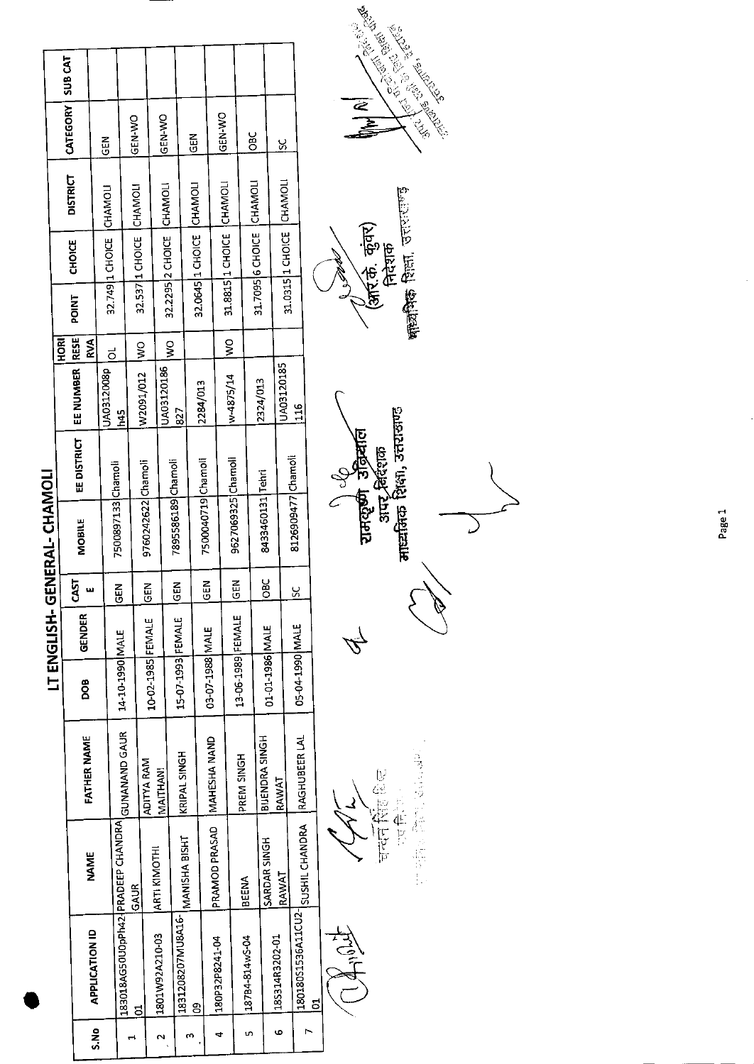|      |                                    |                     |                    |                   |               |             | GENERAL-CHAMOL     |             |            |                           |       |                            |                 |                 |                |
|------|------------------------------------|---------------------|--------------------|-------------------|---------------|-------------|--------------------|-------------|------------|---------------------------|-------|----------------------------|-----------------|-----------------|----------------|
|      |                                    |                     |                    |                   | LT ENGLISH-   |             |                    |             |            | <b>HORI</b>               |       |                            |                 | <b>CATEGORY</b> | <b>SUB CAT</b> |
|      |                                    | <b>NAME</b>         | <b>FATHER NAME</b> | DOB               | <b>GENDER</b> | CAST        | <b>MOBILE</b>      | EE DISTRICT | EE NUMBER  | <b>RESE</b><br><b>RVA</b> | POINT | <b>CHOICE</b>              | <b>DISTRICT</b> |                 |                |
| S.No | <b>APPLICATION ID</b>              |                     |                    |                   |               |             |                    |             | JA0312008p |                           |       | 32.749 1 CHOICE CHAMOL     |                 | <b>GEN</b>      |                |
|      | 183018AG50U0pPh42-JPRADEEP CHANDRA |                     | GUNANAND GAUR      | 14-10-1990 MALE   |               | <b>IGEN</b> | 7500897133 Chamoli |             | 145        | ಕ                         |       |                            |                 |                 |                |
|      | ದ                                  | <b>GAUR</b>         |                    |                   |               |             |                    |             | W2091/012  | $\frac{1}{2}$             |       | 32.537   1 CHOICE          | <b>CHAMOLI</b>  | GEN-WO          |                |
|      | 1801W92A210-03                     | <b>ARTI KIMOTHI</b> | <b>ADITYA RAM</b>  | 10-02-1985 FEMALE |               | <b>A3D</b>  | 9760242622 Chamoli |             |            |                           |       |                            |                 |                 |                |
|      |                                    |                     | <b>MAITHAN!</b>    |                   |               | <b>GEN</b>  | 7895586189 Chamoli |             | UA03120186 | $rac{1}{2}$               |       | 32.2295 2 CHOICE CHAMOL    |                 | <b>GEN-WO</b>   |                |
|      | 1831208207MU8A16-                  | MANISHA BISHT       | KRIPAL SINGH       | 15-07-1993 FEMALE |               |             |                    |             | 827        |                           |       |                            |                 |                 |                |
|      | g                                  |                     |                    |                   |               | <b>ADD</b>  | 7500040719 Chamoli |             | 2284/013   |                           |       | 32.0645 1 CHOICE CHAMOLI   |                 | $rac{2}{5}$     |                |
|      | 180P32P8241-04                     | PRAMOD PRASAD       | IMAHESHA NAND      | 03-07-1988 MALE   |               |             |                    |             |            |                           |       |                            |                 |                 |                |
|      |                                    |                     |                    |                   |               | <b>N3D</b>  | 9627069325 Chamol  |             | w-4875/14  | $\frac{8}{5}$             |       | 31.8815 1 CHOICE CHAMOL    |                 | GEN-WO          |                |
|      | 18784-814w5-04                     | <b>BEENA</b>        | PREM SINGH         | 13-06-1989 FEMALE |               |             |                    |             |            |                           |       |                            |                 | <b>Dac</b>      |                |
|      |                                    |                     | BIJENDRA SINGH     |                   |               |             | 8433460131 Tehri   |             | 2324/013   |                           |       | 31.7095 6 CHOICE CHAMOL    |                 |                 |                |
| ဖ    | 185314R3202-01                     | SARDAR SINGH        | RAWAT              | 01-01-1986 MALE   |               | DBC         |                    |             |            |                           |       |                            |                 |                 |                |
|      |                                    | RAWAT               |                    |                   |               |             |                    |             | UA03120185 |                           |       | 31.0315  1 CHOICE  CHAMOLI |                 | X               |                |
|      | 180180S1536A11CU2-                 | SUSHIL CHANDRA      | RAGHUBEER LAL      | 05-04-1990 MALE   |               | <u>يي</u>   | 8126909477 Chamoli |             | 116        |                           |       |                            |                 |                 |                |
|      | <u>ទ</u>                           |                     |                    |                   |               |             | $\epsilon$         | C           |            |                           |       |                            |                 |                 |                |

有事

चन्दनसिंह शिल<br>एत निर्णय

287992 日花 3起前長

रामदृष्णे उँद्रियाल<br>अपर विंशक<br>मार्च्यानक शिक्षा, उत्तराखण्ड 1) cg  $\mathbb{Z}$ 





Page 1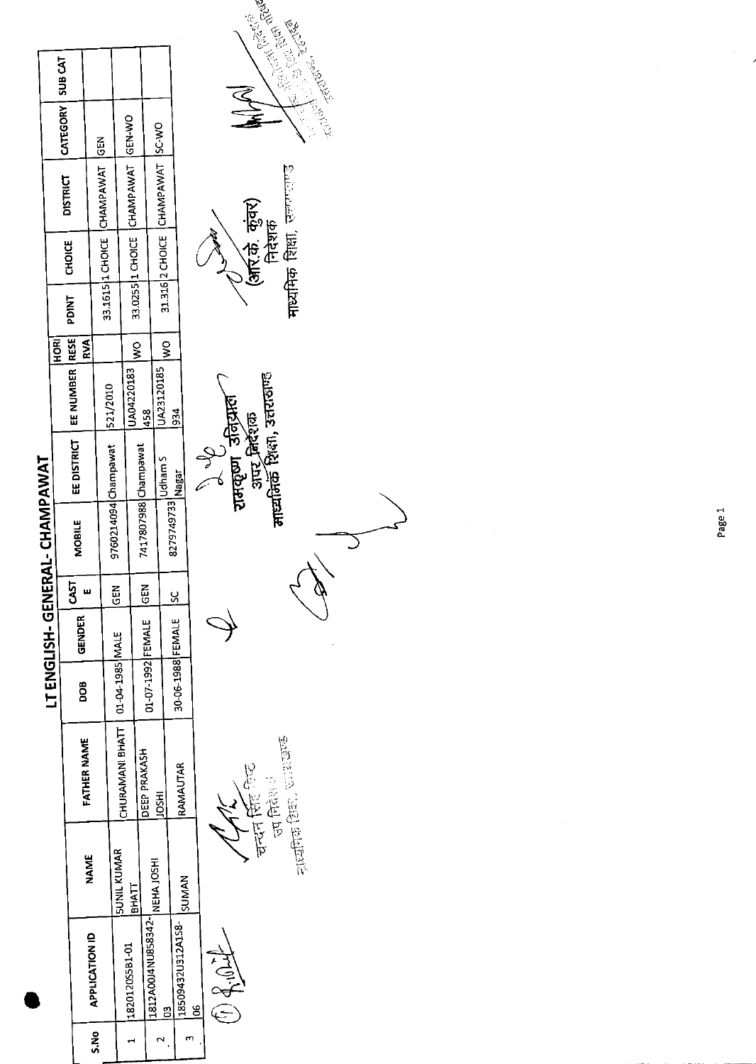|      |                    |                     |                                   |                      |               |            | LT ENGLISH- GENERAL- CHAMPAWAT |                                 |                                |             |              |               |                                    |                                                 |  |
|------|--------------------|---------------------|-----------------------------------|----------------------|---------------|------------|--------------------------------|---------------------------------|--------------------------------|-------------|--------------|---------------|------------------------------------|-------------------------------------------------|--|
|      |                    |                     |                                   |                      |               |            |                                |                                 |                                | <b>HORI</b> |              |               |                                    |                                                 |  |
|      |                    |                     |                                   |                      |               | 5LST       |                                |                                 | EE DISTRICT   EE NUMBER   RESE |             | <b>PDINT</b> | <b>CHOICE</b> | <b>DISTRICT</b>                    | CATEGORY   SUB CAT                              |  |
|      |                    | <b>NAME</b>         | FATHER NAME                       | BOG                  | <b>GENDER</b> |            | <b>MOBILE</b>                  |                                 |                                | RVA         |              |               |                                    |                                                 |  |
| s.No | APPLICATION ID     |                     |                                   |                      |               |            |                                |                                 |                                |             |              |               | 33.1615 1 CHOICE CHAMPAWAT GEN     |                                                 |  |
|      |                    |                     |                                   |                      |               | ច្ឆ        |                                | 9760214094 Champawat   521/2010 |                                |             |              |               |                                    |                                                 |  |
|      | 182012055B1-01     | <b>ISUNIL KUMAR</b> | CHURAMANI BHATT   01-04-1985 MALE |                      |               |            |                                |                                 |                                |             |              |               |                                    |                                                 |  |
|      |                    | <b>IEHKLL</b>       |                                   |                      |               |            |                                |                                 | UA04220183                     | $rac{1}{2}$ |              |               | 33.0255 11 CHOICE CHAMPAWAT GEN-WO |                                                 |  |
|      | 1812A00J4NU858342- |                     | DEEP PRAKASH                      | 01-07-1992 FEMALE    |               | <b>N3D</b> | 7417807988 Champawat           |                                 | 458                            |             |              |               |                                    |                                                 |  |
|      |                    | NEHA JOSHI          | <b>IDSHI</b>                      |                      |               |            | 8279749733 Udham S             |                                 | UA23120185                     | ş           |              |               | 31.316 2 CHOICE CHAMPAWAT SC-WO    |                                                 |  |
|      | g                  |                     |                                   | 30-06-1988 FEMALE SC |               |            |                                |                                 | 934                            |             |              |               |                                    |                                                 |  |
|      | 18509432U312A158-  | SUMAN               | RAMAUTAR                          |                      |               |            |                                | Nagar                           |                                |             |              |               |                                    |                                                 |  |
|      | <u>క</u>           |                     |                                   |                      |               |            |                                |                                 |                                |             |              |               |                                    |                                                 |  |
|      |                    |                     |                                   |                      |               |            |                                |                                 |                                |             |              |               |                                    |                                                 |  |
|      | 白色                 |                     |                                   |                      |               |            |                                | न्न्यन्तपा उतिदास <b>।</b>      |                                |             |              |               |                                    |                                                 |  |
|      |                    |                     |                                   |                      |               |            |                                |                                 |                                |             |              |               |                                    | $\begin{array}{ccc} 1 & 1 \\ 1 & 1 \end{array}$ |  |

 $\frac{1}{2} \frac{1}{2} \frac{1}{2} \frac{1}{2} \frac{1}{2} \frac{1}{2} \frac{1}{2} \frac{1}{2} \frac{1}{2} \frac{1}{2} \frac{1}{2} \frac{1}{2} \frac{1}{2} \frac{1}{2} \frac{1}{2} \frac{1}{2} \frac{1}{2} \frac{1}{2} \frac{1}{2} \frac{1}{2} \frac{1}{2} \frac{1}{2} \frac{1}{2} \frac{1}{2} \frac{1}{2} \frac{1}{2} \frac{1}{2} \frac{1}{2} \frac{1}{2} \frac{1}{2} \frac{1}{2} \frac{$  $\begin{picture}(22,14) \put(0,0){\line(1,0){15}} \put(15,0){\line(1,0){15}} \put(15,0){\line(1,0){15}} \put(15,0){\line(1,0){15}} \put(15,0){\line(1,0){15}} \put(15,0){\line(1,0){15}} \put(15,0){\line(1,0){15}} \put(15,0){\line(1,0){15}} \put(15,0){\line(1,0){15}} \put(15,0){\line(1,0){15}} \put(15,0){\line(1,0){15}} \put(15,0){\line(1$ 

 $\mathcal{C}$ 

्रे V<br>रामकृष्ण उत्तिर्प्रास्त*ि*<br>आर निर्देशक<br>नाव्यतिर्के शिक्षा, उत्तरासण्ड





 $\hat{\boldsymbol{\beta}}$ 

 $\hat{\boldsymbol{\theta}}$  $\overline{\phantom{a}}$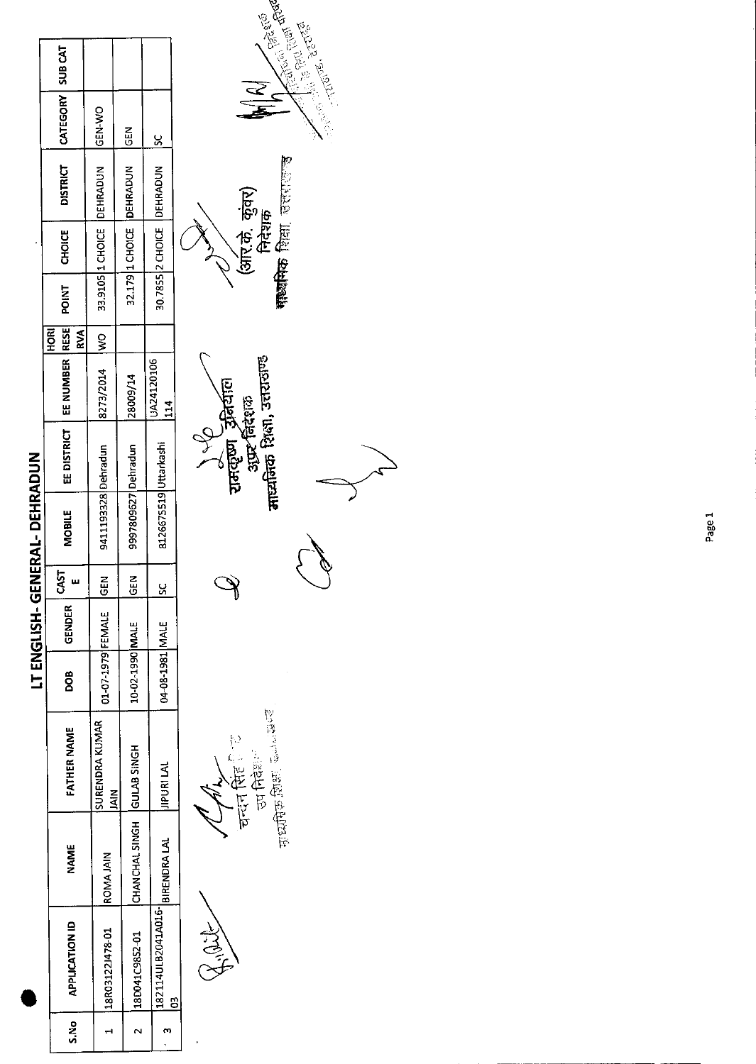| I<br>ì |
|--------|
|        |
| l<br>r |

| o<br>S.N | APPLICATION ID                  | <b>NAME</b>                | FATHER NAME                  | 80a               | <b>GENDER</b> | CAST        | <b>MOBILE</b>         | EE DISTRICT   EE NUMBER   RESE | HORI<br><b>RVA</b> | <b>POINT</b> | <b>CHOICE</b> | <b>DISTRICT</b>           | CATEGORY SUB CAT |  |
|----------|---------------------------------|----------------------------|------------------------------|-------------------|---------------|-------------|-----------------------|--------------------------------|--------------------|--------------|---------------|---------------------------|------------------|--|
|          | 18R03122J478-01                 | <b>ROMA JAIN</b>           | SURENDRA KUMAR<br><b>MIA</b> | 01-07-1979 FEMALE |               | <b>KEN</b>  | 9411193328 Dehradun   | 8273/2014                      | IWO -              |              |               | 33.9105 1 CHOICE DEHRADUN | <b>ON-N3D</b>    |  |
|          |                                 |                            |                              |                   |               |             |                       |                                |                    |              |               |                           |                  |  |
|          | 180041C9852-01                  | CHANCHAL SINGH GULAB SINGH |                              | 10-02-1990 MALE   |               | $rac{2}{5}$ | 9997809627 Dehradun   | 28009/14                       |                    |              |               | 32.179 1 CHOICE DEHRADUN  | $\frac{5}{6}$    |  |
|          |                                 |                            |                              |                   |               |             |                       |                                |                    |              |               |                           |                  |  |
|          | 182114ULB2041A016- BIRENDRA LAL |                            | <b>JIPURI LAL</b>            | 04-08-1981 MALE   |               | <u>s</u>    | 8126675519 Uttarkashi | UA24120106                     |                    |              |               | 30.7855 2 CHOICE DEHRADUN | <u>ي</u>         |  |
|          |                                 |                            |                              |                   |               |             |                       | $\frac{1}{4}$                  |                    |              |               |                           |                  |  |
|          |                                 |                            |                              |                   |               |             |                       |                                |                    |              |               |                           |                  |  |

Sige

चन्दन सिंह ि\*ट<br>उप निरंकाः<br><sub>पाध्यपिक</sub> ग्रिक्षा ज्यमेसल्व

 $\mathbb{Q}$ 

 $\frac{d}{dx}$  and  $\frac{d}{dx}$  and  $\frac{d}{dx}$  factors and  $\frac{d}{dx}$  factors and  $\frac{d}{dx}$  factors and  $\frac{d}{dx}$  and  $\frac{d}{dx}$  and  $\frac{d}{dx}$  and  $\frac{d}{dx}$  and  $\frac{d}{dx}$  and  $\frac{d}{dx}$  and  $\frac{d}{dx}$  and  $\frac{d}{dx}$  and  $\frac{d}{dx}$  and





Page 1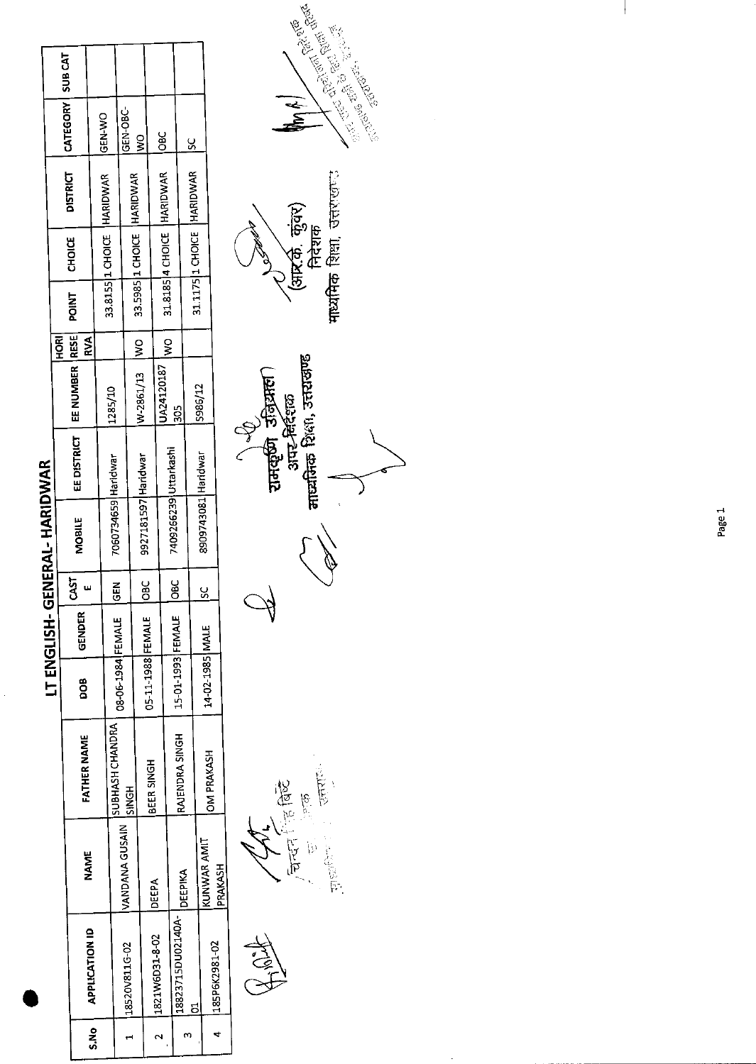| I      |
|--------|
|        |
|        |
|        |
| ı      |
| ı      |
|        |
|        |
|        |
|        |
| ı      |
|        |
| ſ      |
| ı      |
|        |
| Í      |
|        |
|        |
| I      |
|        |
|        |
| ŗ<br>l |

|       |                   |                |                    |                   | LT ENGLISH- |                  | GENERAL-HARIDWAK      |                                |            |                  |       |               |                               |                    |  |
|-------|-------------------|----------------|--------------------|-------------------|-------------|------------------|-----------------------|--------------------------------|------------|------------------|-------|---------------|-------------------------------|--------------------|--|
|       |                   |                |                    |                   |             |                  |                       |                                |            | 홍                |       |               |                               | CATEGORY   SUB CAT |  |
|       |                   | NAME           | <b>FATHER NAME</b> | 8<br>D            | GENDER      | CAST             | <b>MOBILE</b>         | EE DISTRICT   EE NUMBER   RESE |            | RVA              | POINT | <b>CHOICE</b> | <b>DISTRICT</b>               |                    |  |
| S.N.O | APPLICATION ID    |                |                    |                   |             |                  |                       |                                |            |                  |       |               |                               | <b>IGEN-WO</b>     |  |
|       |                   |                | SUBHASH CHANDRA    |                   |             | <b>M30</b>       | 7060734659 Haridwar   |                                | 1285/10    |                  |       |               | 33.8155 1 CHOICE   HARIDWAR   |                    |  |
|       | 1  18520V811G-02  | VANDANA GUSAIN | <b>SINGH</b>       | 08-06-1984 FEMALE |             |                  |                       |                                |            |                  |       |               |                               | GEN-OBC-           |  |
|       |                   |                |                    |                   |             |                  |                       |                                | W-2861/13  | $ w_0 $          |       |               | 33.5985   1 CHOICE   HARIDWAR | g                  |  |
|       |                   |                | BEER SINGH         | 05-11-1988 FEMALE |             | $\frac{6}{5}$    | 9927181597 Haridwar   |                                |            |                  |       |               |                               |                    |  |
|       | 1821W6D31-8-02    | DEEPA          |                    |                   |             |                  |                       |                                | 1A24120187 | IWO <sub>1</sub> |       |               | 31.8185 4 CHOICE HARIDWAR     | $\frac{6}{5}$      |  |
|       | 18823715DU02140A- |                | RAJENDRA SINGH     | 15 01-1993 FEMALE |             | $rac{c}{\sigma}$ | 7409266239 Uttarkashi |                                | 505        |                  |       |               |                               |                    |  |
|       |                   | DEEPIKA        |                    |                   |             |                  |                       |                                |            |                  |       |               |                               | $\overline{5}$     |  |
|       | č                 |                |                    |                   |             |                  | 8909743081 Haridwar   |                                | \$986/12   |                  |       |               | 31.1175 1 CHOICE HARIDWAR     |                    |  |
|       | 1185P6K2981-02    | KUNWAR AMIT    | <b>ISANARINOV</b>  | 14-02-1985 MALE   |             | <u>s</u>         |                       |                                |            |                  |       |               |                               |                    |  |
|       |                   | PRAKASH        |                    |                   |             |                  |                       |                                |            |                  |       |               |                               |                    |  |
|       |                   |                |                    |                   |             |                  |                       |                                |            |                  |       |               |                               |                    |  |

 $\label{eq:3.1} \frac{1}{\sqrt{2\pi}}\, \frac{1}{\sqrt{2\pi}}\, \frac{1}{\sqrt{2\pi}}\, \frac{1}{\sqrt{2\pi}}\, \frac{1}{\sqrt{2\pi}}\, \frac{1}{\sqrt{2\pi}}\, \frac{1}{\sqrt{2\pi}}\, \frac{1}{\sqrt{2\pi}}\, \frac{1}{\sqrt{2\pi}}\, \frac{1}{\sqrt{2\pi}}\, \frac{1}{\sqrt{2\pi}}\, \frac{1}{\sqrt{2\pi}}\, \frac{1}{\sqrt{2\pi}}\, \frac{1}{\sqrt{2\pi}}\, \frac{1}{\sqrt{2\pi}}\, \$ نسم

, चिन्दन सिद्धि<br>ज ्हराय

्री परि<br>रामकूण उन्ध्रियाला<br>आय-निर्दशक<br>माध्यमिक शिक्षा, उत्तराखण्ड  $\overleftrightarrow{ }$ 

माध्यमिक शिक्षा, उत्तराखण्ड ⁄ ५)<br>(आर.क. कुंवर)<br>निदेशक



 $\hat{\mathcal{A}}$ 

 $\overline{\phantom{a}}$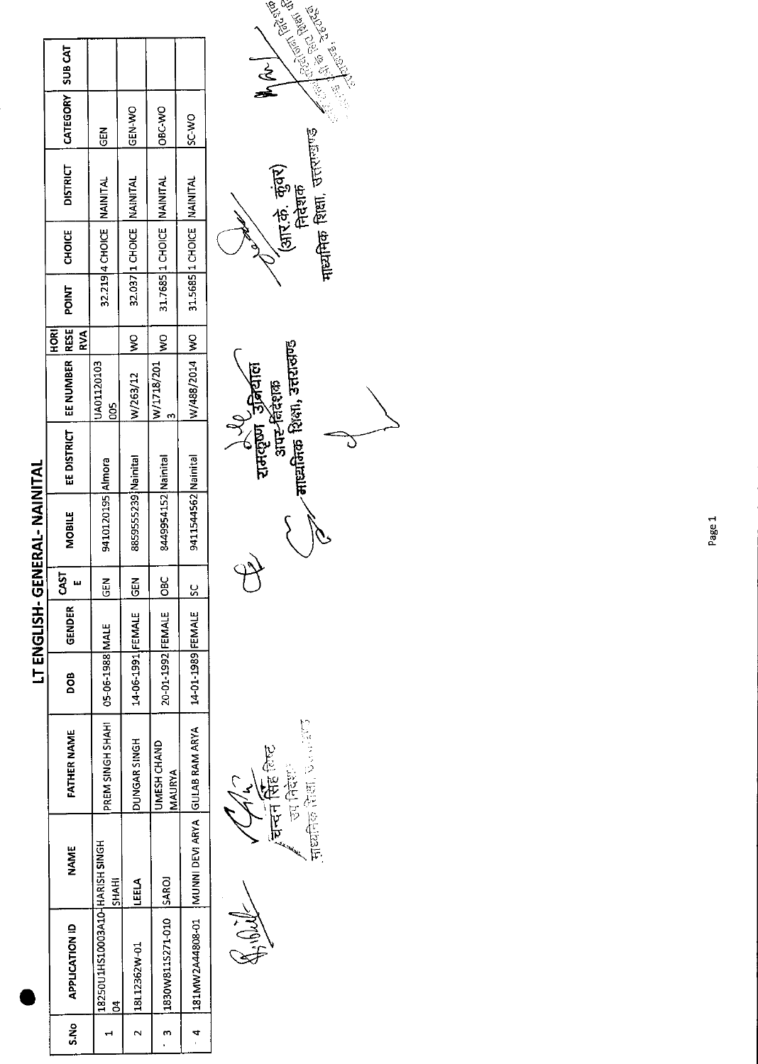|      |                                                    |              |                                    |                   | LT ENGLISH-   |               | <b>GENERAL-NAITAL</b> |                               |                   |                          |             |                           |                 |                    |  |
|------|----------------------------------------------------|--------------|------------------------------------|-------------------|---------------|---------------|-----------------------|-------------------------------|-------------------|--------------------------|-------------|---------------------------|-----------------|--------------------|--|
| S.No | <b>APPLICATION ID</b>                              | <b>NAME</b>  | <b>FATHER NAME</b>                 | DOB               | <b>GENDER</b> | 5ST           | <b>MOBILE</b>         | EE DISTRICT   EE NUMBER  RESE |                   | <b>TES</b><br><b>RVA</b> | <b>NID4</b> | <b>CHOICE</b>             | <b>DISTRICT</b> | CATEGORY   SUB CAT |  |
|      | 18250U1HS10003A10-HARISH SINGH<br>8                | <b>SHAHI</b> | PREM SINGH SHAHI   05-06-1988 MALE |                   |               | <u>ក្ដ</u>    | 9410120195 Almora     |                               | JA01120103<br>gog |                          |             | 32.219 4 CHOICE NAINITAL  |                 | <b>ABD</b>         |  |
|      | 2  18L12362W-01                                    | LEELA        | DUNGAR SINGH                       | 14-06-1991 FEMALE |               | $\frac{2}{3}$ | 8859555239 Nainital   |                               | W/263/12          | $\frac{8}{3}$            |             | 32.037 I CHOICE NAINITAL  |                 | ON ALLO            |  |
|      | 1830W8115271-010 SAROJ                             |              | JMESH CHAND<br>MAURYA              | 20-01-1992 FEMALE |               | ្ត<br>ក       | 8449954152 Nainital   |                               | W/1718/201        | $\frac{1}{2}$            |             | 31.7685 1 CHOICE NAINITAL |                 | OBC-WO             |  |
|      | 1231MW2A44808-01   MUNI DEVI ARYA   GULAB RAM ARYA |              |                                    | 14-01-1989 FEMALE |               | Ç             | 9411544562 Nainital   |                               | W/488/2014 WO     |                          |             | 31.5685 1 CHOICE NAINITAL |                 | SC-WO              |  |

Justice Ran, Norweg 音位下 चन्दन नि

्रे V<br>दामदृष्ण उजियाल<br>आस्-विदेशक<br>ताध्यक्तिक शिक्षा, उत्तराखण्ड  $\circ$ D

**WILLIAMS**  $\frac{1}{\frac{1}{2}}$  $\frac{1}{\sqrt{2}}$ मार्यामिक शिक्षा, उत्तरण्डाण्ड ´⁄आर.के. कुंवर)<br>सिरेशक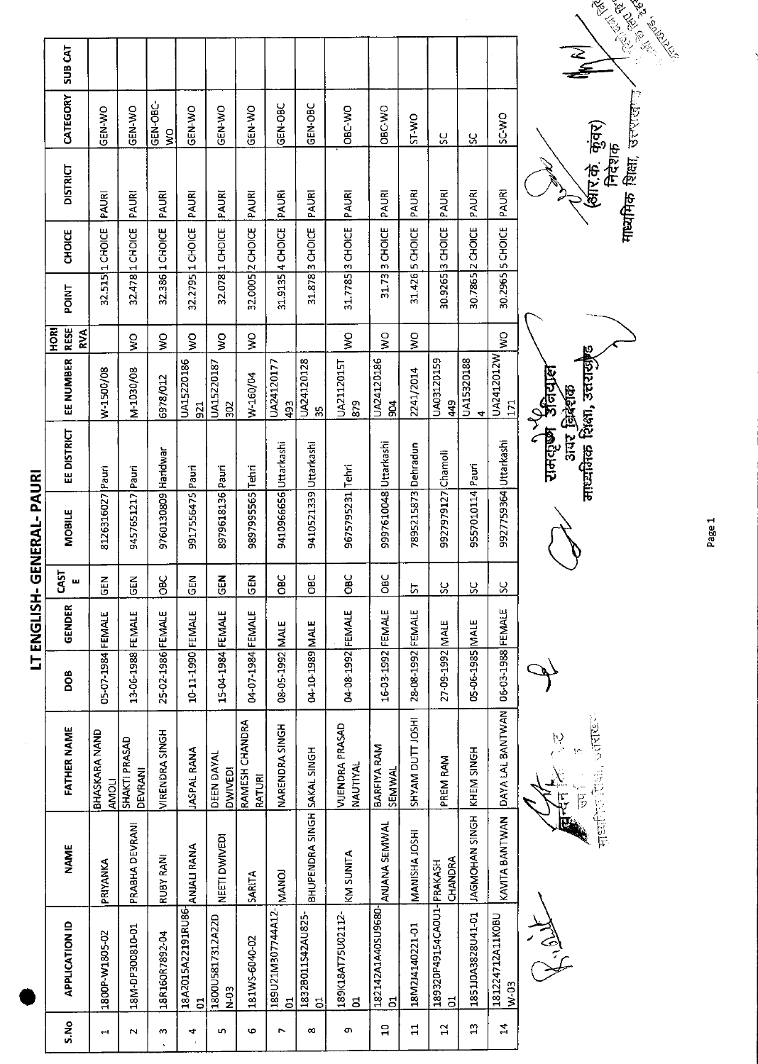|               |                           |                              |                                 |                                  |                         |                             |                           |                                   |                                     |                                    |                         |                     |                         |                             |                            | Control Marian                                                  |
|---------------|---------------------------|------------------------------|---------------------------------|----------------------------------|-------------------------|-----------------------------|---------------------------|-----------------------------------|-------------------------------------|------------------------------------|-------------------------|---------------------|-------------------------|-----------------------------|----------------------------|-----------------------------------------------------------------|
|               | <b>SUBCAT</b>             |                              |                                 |                                  |                         |                             |                           |                                   |                                     |                                    |                         |                     |                         |                             |                            | <b>Contractor Report</b>                                        |
|               | CATEGORY                  | GEN-WO                       | <b>GEN-WO</b>                   | GEN-OBC-<br>$\tilde{\mathbf{z}}$ | GEN-WO                  | GEN-WO                      | GEN-WO                    | GEN-OBC                           | GEN-OBC                             | OBC-WO                             | OBC WO                  | ST-WO               | SC                      | ႘                           | SC-WO                      |                                                                 |
|               | <b>DISTRICT</b>           | PAURI                        | PAURI                           | PAURI                            | PAURI                   | PAURI                       | PAURI                     | PAURI                             | PAURI                               | PAURI                              | PAURI                   | PAURI               | PAURI                   | PAURI                       | PAURI                      | <b>माध्यमिक शिक्षा, उत्तराज्</b> त<br>(बीर.के. कुंवर)<br>निदेशक |
|               | <b>CHOICE</b>             | 1 CHOICE                     |                                 |                                  |                         |                             |                           | 4 CHOICE                          |                                     |                                    | 3 CHOICE                |                     |                         | 2 CHOICE                    |                            |                                                                 |
|               | POINT                     | 32.515                       | 32.478 1 CHOICE                 | 32.386 1 CHOICE                  | 32.2795 1 CHOICE        | 32.078 1 CHOICE             | 32.0005 2 CHOICE          | 31.9135                           | 31.878 3 CHOICE                     | 31.7785 3 CHOICE                   | 31.73                   | 31.426 5 CHOICE     | 30.9265 3 CHOICE        | 30.7865                     | 30.2965 5 CHOICE           |                                                                 |
|               | RESE<br><b>ROH</b><br>RVA |                              | $\frac{1}{2}$                   | ş                                | δX                      | Ş                           | $\mathsf{S}^{\mathsf{O}}$ |                                   |                                     | $\mathsf{S}$                       | $\frac{1}{2}$           | ΟW                  |                         |                             | Ş                          |                                                                 |
|               | EE NUMBER                 | W-1500/08                    | M-1030/08                       | 6978/012                         | UA15220186<br>521       | UA15220187<br>302           | W-160/04                  | UA24120177<br>493                 | UA24120128<br>က္က                   | UA2112015T<br>879                  | UA24120186<br>904       | 2241/2014           | UA03120159<br>449       | UA15320188<br>4             | UA2412012W<br>171          |                                                                 |
|               | EE DISTRICT               |                              |                                 |                                  |                         |                             |                           |                                   |                                     |                                    |                         |                     |                         |                             |                            | माध्यमिक शिक्षा, उत्तरासृष्ट<br>रामरहर्ष्ण अनियाल<br>अपर जिदेशक |
| ENERAL-PAUR   | <b>MOBILE</b>             | 8126316027 Pauri             | 9457651217 Pauri                | 9760130809 Haridwar              | 9917556475 Pauri        | 8979618136 Pauri            | 9897995565 Tehri          | 9410966656 Uttarkashi             | 9410521339 Uttarkashi               | 9675795231 Tehri                   | 9997610048 Uttarkashi   | 7895215873 Dehradun | 9927979127 Chamoli      | 9557010114 Pauri            | 9927759364 Uttarkashi      |                                                                 |
|               | CAST<br>ш                 | M35                          | <b>GEN</b>                      | SС<br>Ов                         | <b>GEN</b>              | $\frac{2}{5}$               | M30                       | <b>OBC</b>                        | <b>DBC</b>                          | OBC                                | <b>DBC</b>              | ょ                   | <b>SC</b>               | ပ္တ                         | X                          |                                                                 |
| LT ENGLISH-GI | <b>GENDER</b>             |                              |                                 |                                  |                         |                             |                           |                                   |                                     |                                    |                         |                     |                         |                             |                            |                                                                 |
|               | <b>goo</b>                | 05-07-1984 FEMALE            | 13-06-1988 FEMALE               | 25-02-1986 FEMALE                | 10-11-1990 FEMALE       | 15-04-1984 FEMALE           | 04-07-1984 FEMALE         | 08-05-1992 MALE                   | 04-10-1989 MALE                     | 04-08-1992 FEMALE                  | 16-03-1992 FEMALE       | 28-08-1992 FEMALE   | 27-09-1992 MALE         | 05-06-1985 MALE             | 06-03-1988 FEMALE          |                                                                 |
|               | FATHER NAME               | BHASKARA NAND<br><b>HOMA</b> | SHAKTI PRASAD<br><b>DEVRANI</b> | VIRENDRA SINGH                   | <b>JASPAL RANA</b>      | DEEN DAYAL<br>DWIVEDI       | RAMESH CHANDRA<br>RATURI  | NARENDRA SINGH                    |                                     | VIJENDRA PRASAD<br><b>NAUTIYAL</b> | BARFIYA RAM<br>SEMWAL   | SHYAM DUTT JOSHI    | PREM RAM                | KHEM SINGH                  | DAYA LAL BANTWAN           | 2000年5月<br>h)<br>.<br>ţņ<br>r<br>P                              |
|               | <b>NAME</b>               | PRIYANKA                     | PRABHA DEVRANI                  | RUBY RANI                        | <b>ANJALI RANA</b>      | NEETI DWIVEDI               | <b>SARITA</b>             | <b>MANOJ</b>                      | BHUPENDRA SINGH SAKAL SINGH         | KM SUNITA                          | ANJANA SEMWAL           | MANISHA JOSHI       | CHANDRA<br>PRAKASH      | <b>HOMOHAN SINGH</b>        | KAVITA BANTWAN             | ्<br>पुष्टा                                                     |
|               | <b>APPLICATION ID</b>     | 1800P-W1805-02               | 18M-DP300810-01                 | 18R160R7892-04                   | 18A2015A22191RU86-<br>ā | 1800U5817312A22D<br>$N-0.3$ | 181WS-6040-02             | 189U21M307744A12-<br><sub>5</sub> | 1832B011S42AU825-<br>$\overline{5}$ | 189K18AT75U02112-<br>E,            | 182142A1A40SU9680-<br>5 | 18M2J4140221-01     | 189320P49154CA0U1-<br>ដ | 1851J0A3828U41-01           | 181224712A11K0BU<br>$W-03$ | Hill H                                                          |
|               | S.No                      | 4                            | $\mathbf{\mathsf{N}}$           | w                                | 4                       | m,                          | G                         | r.                                | $\infty$                            | o,                                 | $\overline{\mathbf{u}}$ | $\mathbf{1}$        | $\mathbf{r}$            | $\boldsymbol{\mathfrak{a}}$ | $\mathbf{z}$               |                                                                 |

Page 1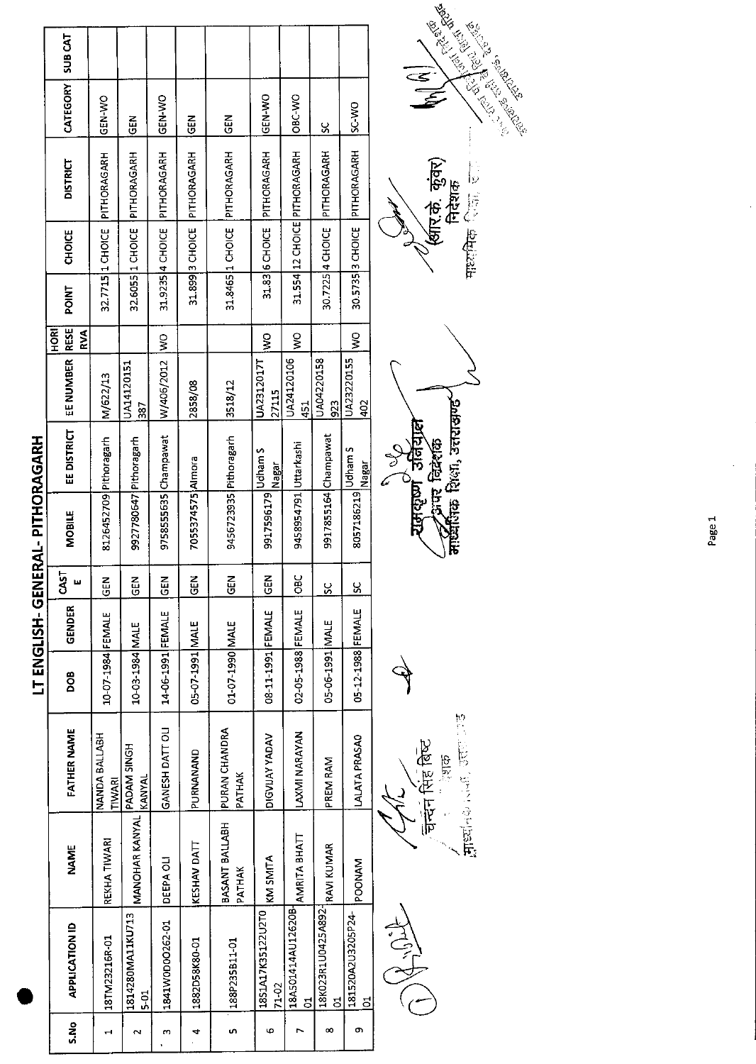|      |                                    |                          |                                |                   | <b>LI ENGISH-GEN</b> |               | <b>ERAL-PITHORAGARH</b> |                             |                     |                            |       |                  |                              |                |         |
|------|------------------------------------|--------------------------|--------------------------------|-------------------|----------------------|---------------|-------------------------|-----------------------------|---------------------|----------------------------|-------|------------------|------------------------------|----------------|---------|
| S.No | <b>APPLICATION ID</b>              | <b>NAME</b>              | <b>FATHER NAME</b>             | <b>BOD</b>        | <b>GENDER</b>        | CAST          | <b>MOBILE</b>           | EE DISTRICT                 | EE NUMBER           | <b>RESE</b><br>HORI<br>RVA | POINT | <b>CHOICE</b>    | <b>DISTRICT</b>              | CATEGORY       | SUB CAT |
| ᆏ    | 18TM23216R-01                      | REKHA TIWARI             | NANDA BALLABH<br>TIWARI        | 10-07-1984 FEMALE |                      | <b>N3D</b>    | 8126452709 Pithoragarh  |                             | M/622/13            |                            |       | 32.7715 1 CHOICE | PITHORAGARH                  | <b>ON-N-25</b> |         |
| N    | 1814280MA11KU713<br>$\frac{5}{10}$ | MANOHAR KANYAL           | PADAM SINGH<br>KANYAL          | 10-03-1984 MALE   |                      | <b>ABS</b>    | 9927780647 Pithoragarh  |                             | UA14120151<br>-82   |                            |       | 32.6055 1 CHOICE | PITHORAGARH                  | $\frac{5}{9}$  |         |
| m    | 1841W0D0O262-01                    | DEEPA OLI                | GANESH DATT OL                 | 14-06-1991 FEMALE |                      | <b>GEN</b>    | 9758555635 Champawat    |                             | W/406/2012          | $\frac{1}{2}$              |       | 31.9235 4 CHOICE | PITHORAGARH                  | GEN-WO         |         |
| 4    | 1882D58K80-01                      | KESHAV DATT              | PURNANAND                      | 05-07-1991 MALE   |                      | <b>NBD</b>    | 7055374575 Almora       |                             | 2858/08             |                            |       | 31.899 3 CHOICE  | PITHORAGARH                  | $rac{2}{5}$    |         |
| Lη,  | 188P235B11-01                      | BASANT BALLABH<br>PATHAK | <b>PURAN CHANDRA</b><br>PATHAK | 01-07-1990 MALE   |                      | $rac{5}{25}$  | 9456723935 Pithoragarh  |                             | 3518/12             |                            |       | 31.8465 1 CHOICE | PITHORAGARH                  | GEN            |         |
| ю    | 18S1A17K35122U2T0<br>71-02         | KM SMITA                 | DIGVIJAY YADAV                 | 08-11-1991 FEMALE |                      | <b>IGEN</b>   | 9917596179              | Udham <sub>S</sub><br>Nagar | UA2312017T<br>27115 | $\frac{1}{2}$              |       | 31.83 6 CHOICE   | PITHORAGARH                  | GEN-WO         |         |
| r    | 18A501414AU12620B-<br><u>៩</u>     | AMRITA BHATT             | LAXMI NARAYAN                  | 02-05-1988 FEMALE |                      | <b>OBC</b>    | 9458954791 Uttarkashi   |                             | UA24120106<br>451   | $\frac{1}{2}$              |       |                  | 31.554 12 CHOICE PITHORAGARH | OBC-WO         |         |
| ∞    | 18K023R1U0425A892<br>5             | <b>RAVI KUMAR</b>        | PREM RAM                       | 05-06-1991 MALE   |                      | $\frac{6}{5}$ | 9917855164 Champawat    |                             | UA04220158<br>923   |                            |       | 30.7225 4 CHOICE | PITHORAGARH                  | ပ္တ            |         |
| Q)   | 181520A2U3205P24-<br>ರ             | POONAM                   | LALATA PRASAO                  | 05-12-1988 FEMALE |                      | ပ္တ           | 8057186219 Udham S      | <b>Inagar</b>               | UA23220155<br>402   | ş                          |       | 30.5735 3 CHOICE | PITHORAGARH                  | <b>DIA-3S</b>  |         |
|      |                                    |                          | $\widetilde{\zeta}$            |                   |                      |               |                         | l                           |                     |                            |       |                  |                              |                |         |

CONFIDENCY

Fredrick Corporation ्चन्दन सिंह बिष्ट<br>बच्चन सिंह बिष्ट

 $\oint$ 

नार्ध्वतिक शिक्षा, उत्तराखण्ड' नदाष्ण उनिया<br>अपर चिदेशक ्कृष्ण<br>न

**Contract of the Contract of the Registration Contract of the Contract of the Contract of the Contract of the Contract of the Contract of the Contract of the Contract of the Contract of the Contract of the Contract of the**  $\mathbf{R}$ <sup>///</sup>(अरि.के. कुंवर)<br>निदेशक<br>मारगमिक जिल्ला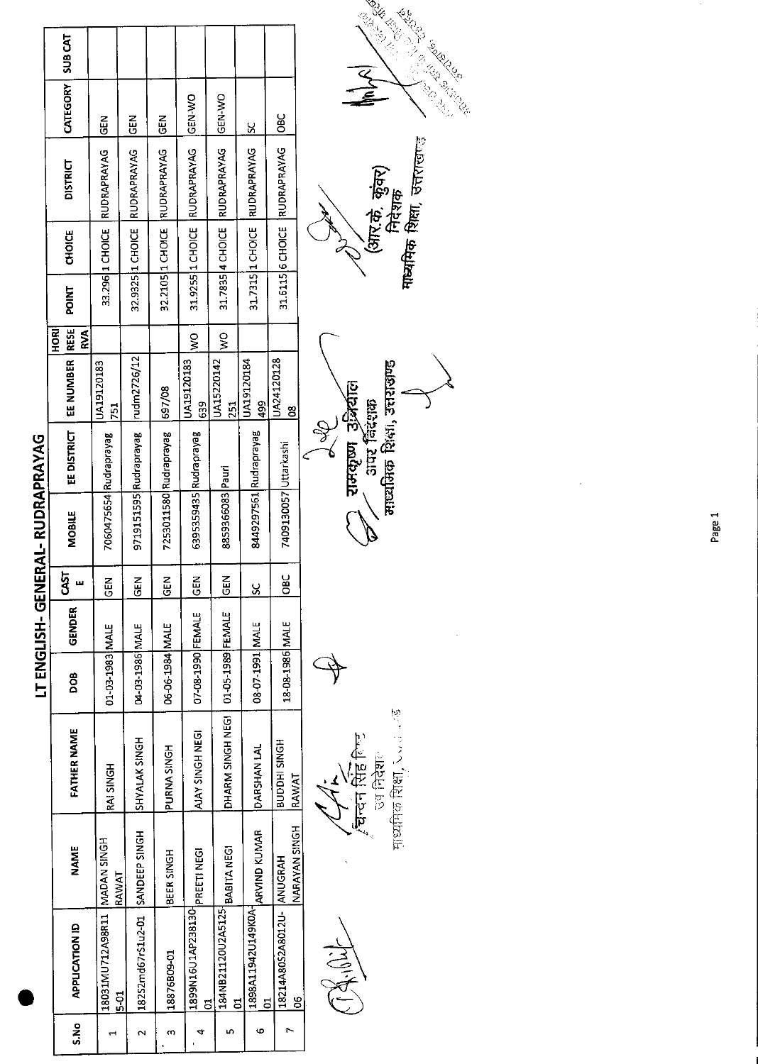|                  |                                   |                                    |                                 |                        |                        |                          |                         |                                           | LAND BY                                                                                                                                                                                                                                                |
|------------------|-----------------------------------|------------------------------------|---------------------------------|------------------------|------------------------|--------------------------|-------------------------|-------------------------------------------|--------------------------------------------------------------------------------------------------------------------------------------------------------------------------------------------------------------------------------------------------------|
|                  | SUB CAT                           |                                    |                                 |                        |                        |                          |                         |                                           | <b>Kanada Kanada Kanada Kanada Kanada Kanada Kanada Kanada Kanada Kanada Kanada Kanada Kanada Kanada Kanada Kana</b><br>Kanada Kanada Kanada Kanada Kanada Kanada Kanada Kanada Kanada Kanada Kanada Kanada Kanada Kanada Kanada Kanad<br>CONSCRIPTION |
|                  | CATEGORY                          | <b>GEN</b>                         | こ<br>こ                          | <b>GEN</b>             | <b>ON-N-20</b>         | GEN-WO                   | $\overline{\mathbf{s}}$ | <b>DBC</b>                                |                                                                                                                                                                                                                                                        |
|                  | <b>DISTRICT</b>                   | RUDRAPRAYAG                        | RUDRAPRAYAG                     | RUDRAPRAYAG            | RUDRAPRAYAG            | RUDRAPRAYAG              | <b>RUDRAPRAYAG</b>      | RUDRAPRAYAG                               | <b>माध्यमिक शिक्षा, उत्तरा</b> खान्ड<br>(आर.के. कुंवर)<br>निदेशक                                                                                                                                                                                       |
|                  | CHOICE                            | 33.296 1 CHOICE                    | 32.9325 1 CHOICE                | 32.2105 1 CHOICE       | 31.9255 1 CHOICE       | 31.7835 4 CHOICE         | 31.7315   1 CHOICE      | 31.6115 6 CHOICE                          |                                                                                                                                                                                                                                                        |
|                  | POINT                             |                                    |                                 |                        |                        |                          |                         |                                           |                                                                                                                                                                                                                                                        |
|                  | <b>RESE</b><br><b>HORI</b><br>RVA |                                    |                                 |                        | Š                      | Š                        |                         |                                           |                                                                                                                                                                                                                                                        |
|                  | EE NUMBER                         | JA19120183<br>751                  | rudm2726/12                     | 697/08                 | UA19120183<br>639      | UA15220142<br><b>251</b> | UA19120184<br>499       | UA24120128<br>$\frac{8}{5}$               |                                                                                                                                                                                                                                                        |
|                  | <b>EE DISTRICT</b>                |                                    | 9719151595 Rudraprayag          | 7253011580 Rudraprayag | 6395359435 Rudraprayag |                          | 8449297561 Rudraprayag  |                                           | माध्यमिक शिक्षा, उत्तराखण्ड<br>रामकृष्ण उद्भिर्याल<br>आपर जिंदशक                                                                                                                                                                                       |
| ERAL-RUDRAPRAYAG | <b>MOBILE</b>                     | 7060475654 Rudraprayag             |                                 |                        |                        | 8859366083 Pauri         |                         | 7409130057 Uttarkashi                     |                                                                                                                                                                                                                                                        |
|                  | CAST                              | GEN                                | z<br>ē                          | z<br>9                 | <b>GEN</b>             | <b>GEN</b>               | X                       | OBC                                       |                                                                                                                                                                                                                                                        |
| LT ENGLISH-GEN   | GENDER                            |                                    |                                 |                        |                        |                          |                         |                                           |                                                                                                                                                                                                                                                        |
|                  | DOB                               | 01-03-1983 MALE                    | 04-03-1986 MALE                 | 06-06-1984 MALE        | 07-08-1990 FEMALE      | 01-05-1989 FEMALE        | 3JAM 12951-70-80        | 18-08-1986 MALE                           |                                                                                                                                                                                                                                                        |
|                  | <b>FATHER NAME</b>                | RAI SINGH                          | SHYALAK SINGH                   | <b>PURNA SINGH</b>     | AJAY SINGH NEGI        | DHARM SINGH NEGI         | DARSHAN LAL             | <b>BUDDHI SINGH</b><br>RAWAT              | माध्यमिक शिक्षा , ८८.<br>री दी है।<br>बिन्दन सिंह लिए<br>ज्यानिदेशल                                                                                                                                                                                    |
|                  | <b>NAME</b>                       | RAWAT                              |                                 | BEER SINGH             | <b>PREETINEGI</b>      | BABITA NEGI              | ARVIND KUMAR            | NARAYAN SINGH                             |                                                                                                                                                                                                                                                        |
|                  | <b>APPLICATION ID</b>             | HOMIN MADA   ILR80ASIMUS081<br>5-2 | 182S2md67rS1u2-01 SANDEEP SINGH | 18876B09-01            | 1899N16U1AP238130<br>ă | 184NB21120U2A5125-<br>5  | 1898A11942U149K0A<br>5  | 18214A80S2A8012U-ANUGRAH<br>$\frac{8}{5}$ | $\sum_{i=1}^{n} \sum_{j=1}^{n} \sum_{j=1}^{n}$                                                                                                                                                                                                         |
|                  | ្ត្រ<br>ភ                         |                                    | N                               | m                      | 4                      | 'n,                      | 6                       | r                                         |                                                                                                                                                                                                                                                        |

Page 1

 $\frac{1}{2}$ 

 $\gamma$ 



 $\frac{1}{2}$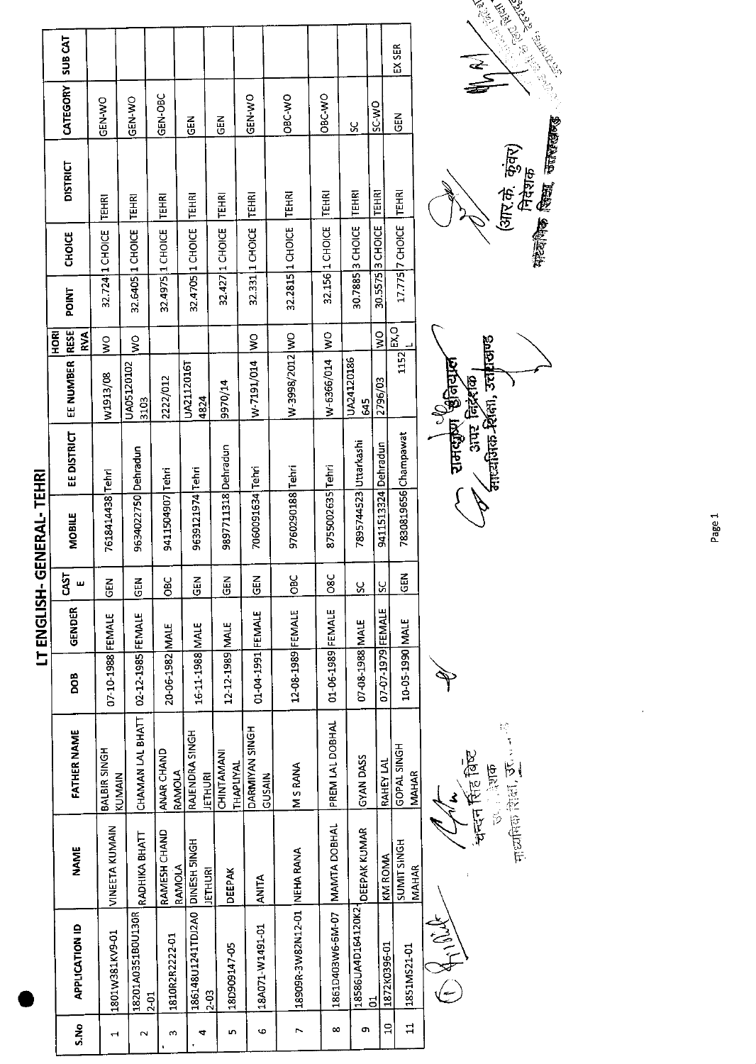|                                     | SUB CAT                         |                        |                               |                        |                                            |                         |                          |                             |                     |                       |                     | EX SER                             |                          |  |
|-------------------------------------|---------------------------------|------------------------|-------------------------------|------------------------|--------------------------------------------|-------------------------|--------------------------|-----------------------------|---------------------|-----------------------|---------------------|------------------------------------|--------------------------|--|
|                                     | CATEGORY                        | GEN-WO                 | <b>GEN-WO</b>                 | GEN-OBC                | 즶                                          | $\frac{2}{5}$           | GEN-WO                   | OBC WO                      | <b>DBC-WO</b>       | ပ္တ                   | <b>OWSS</b>         | $rac{1}{2}$                        |                          |  |
|                                     | <b>DISTRICT</b>                 | <b>TEHRI</b>           | TEHRI                         | <b>TEHRI</b>           | TEHRI                                      | TEHRI                   | <b>TEHRI</b>             | TEHRI                       | <b>TEHRI</b>        | TEHRI                 | <b>TEHRI</b>        | <b>TEHRI</b>                       |                          |  |
|                                     | <b>CHOICE</b>                   | 32.724 1 CHOICE        | 32.6405 1 CHOICE              | 32.4975 1 CHOICE       | 32.4705 1 CHOICE                           | 32.427 1 CHOICE         | 32.331 1 CHOICE          | 32.2815 1 CHOICE            | 32.156 1 CHOICE     | 30.7885 3 CHOICE      | 30.5575 3 CHOICE    | 17.775 7 CHOICE                    |                          |  |
| <b>GENERAL-TEHRI</b><br>LT ENGLISH- | POINT                           |                        |                               |                        |                                            |                         |                          |                             |                     |                       |                     |                                    |                          |  |
|                                     | $ $ RESE<br><b>ESOHI</b><br>RVA | ş<br>$\frac{1}{2}$     |                               |                        |                                            |                         | <u>iwo</u>               |                             | ş                   |                       | $\frac{1}{3}$       | $1152^{[EX,0]}$                    |                          |  |
|                                     | EE NUMBER                       | W1913/08               | UA05120102<br>3103            | 2222/012               | UA2112016T<br>4824                         | 9970/14                 | W-7191/014               | W-3998/2012 WO              | W-6366/014          | UA24120186<br>545     | 2796/03             |                                    | रामसुरेण हिनिया <b>ल</b> |  |
|                                     | <b>EE DISTRICT</b>              |                        |                               |                        |                                            |                         |                          |                             |                     |                       |                     | 7830819656 Champawat               |                          |  |
|                                     | <b>MOBILE</b>                   | 7618414438 Tehri       | 9634022750 Dehradun           | 9411504907 Tehri       | 9639121974 Tehri                           | 9897711318 Dehradun     | 7060091634 Tehri         | 9760290188 Tehri            | 8755002635 Tehri    | 7895744523 Uttarkashi | 9411513324 Dehradun |                                    |                          |  |
|                                     | <b>CAST</b><br>ш                | <b>GEN</b>             | $rac{2}{5}$                   | <b>OBC</b>             | $\tilde{E}$                                | $\frac{2}{5}$           | <b>SEN</b>               | $rac{C}{C}$                 | 08C                 | <u>SC</u>             | <u>SC</u>           | 6<br>$\overline{9}$                |                          |  |
|                                     | GENDER                          |                        |                               |                        |                                            |                         |                          |                             |                     |                       |                     |                                    |                          |  |
|                                     | <b>BOD</b>                      | 07-10-1988 FEMALE      | 02-12-1985 FEMALE             | 20-06-1982 MALE        | 16-11-1988 MALE                            | 12-12-1989 MALE         | 01-04-1991 FEMALE        | 12-08-1989 FEMALE           | 01-06-1989 FEMALE   | 07-08-1988 MALE       | 07-07-1979 FEMALE   | 10-05-1990 MALE                    |                          |  |
|                                     | <b>FATHER NAME</b>              | BALBIR SINGH<br>KUMAIN | CHAMAN LAL BHATT              | ANAR CHAND<br>RAMOLA   | RAJENDRA SINGH<br><b>IETHURI</b>           | CHINTAMANI<br>THAPLIYAL | DARMIYAN SINGH<br>GUSAIN | <b>MSRANA</b>               | PREM LAL DOBHAL     | GYAN DASS             | RAHEY LAL           | GOPAL SINGH<br><b>MAHAR</b>        |                          |  |
|                                     | <b>NAME</b>                     | VINEETA KUMAIN         | RADHIKA BHATT                 | RAMESH CHAND<br>RAMOLA | <b>JETHURI</b>                             | <b>DEEPAK</b>           | <b>ANITA</b>             |                             | <b>MAMTA DOBHAL</b> | <b>DEEPAK KUMAR</b>   | KM ROMA             | <b>SUMIT SINGH</b><br><b>MAHAR</b> |                          |  |
|                                     | APPLICATION ID                  | 1801W381KV9-01         | 18201A0351B0U130R<br>$2 - 01$ | 1810R2R2222-01         | 186148U1241TDJ2A0 DINESH 5INGH<br>$2 - 03$ | 18D909147-05            | 18A071-W1491-01          | 18909R-3W82N12-01 NEHA RANA | 1861D403W6-6M-07    | 18586UA4D164120K2     | 1872K0396-01<br>ă   | 1851MS21-01                        | OS HIMANOS               |  |
|                                     | S.No                            | $\mathbf{\mathbf{t}}$  | N                             | w                      | 4                                          | n,                      | φ                        | ↖                           | ∞                   | œ                     | ă                   | 급                                  |                          |  |

中国民族的 医三十 श्वन्देन र्सिह विच्छ<br>उन्हों देशक

**Constant Constant Constant** J



Page 1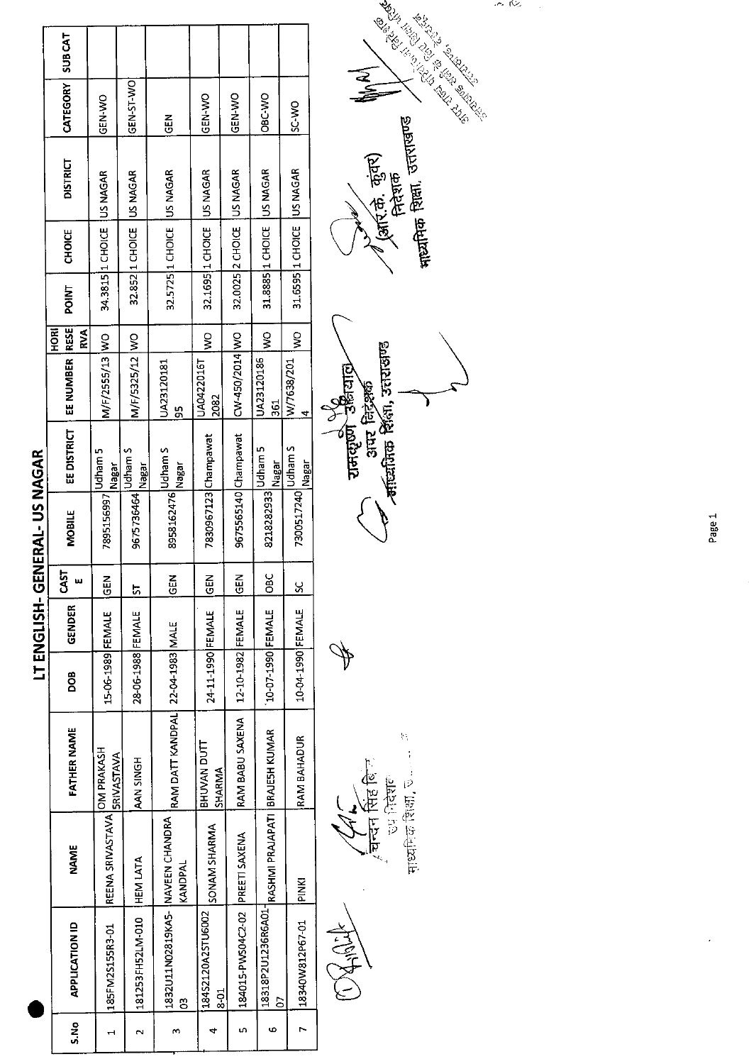|                             | <b>SUBCAT</b>               |                              |                          |                                          |                                    |                                 |                                                         |                           |  |
|-----------------------------|-----------------------------|------------------------------|--------------------------|------------------------------------------|------------------------------------|---------------------------------|---------------------------------------------------------|---------------------------|--|
|                             | CATEGORY                    | GEN-WO                       | GEN 5T WO                | $rac{1}{2}$                              | GEN-WO                             | <b>ON ARD</b>                   | OBC VO                                                  | <b>OW-CS</b>              |  |
|                             | <b>DISTRICT</b>             |                              |                          | 32.5725 1 CHOICE US NAGAR                | 32.1695 1 CHOICE US NAGAR          | 32.0025 2 CHOICE US NAGAR       | 31.8885 1 CHOICE US NAGAR                               | 31.6595 1 CHOICE US NAGAR |  |
|                             | <b>CHOICE</b>               | 34.3815 1 CHOICE   US NAGAR  | 32.852 1 CHOICE US NAGAR |                                          |                                    |                                 |                                                         |                           |  |
|                             | POINT                       |                              |                          |                                          |                                    |                                 |                                                         |                           |  |
|                             | <b>RESE</b><br>HORI<br>RVA  |                              | $\frac{1}{2}$            |                                          |                                    | ş                               | ş                                                       |                           |  |
|                             | EE NUMBER                   | M/F/2555/13 WO               | M/F/5325/12 WO           | UA23120181<br><u>რ</u>                   | JA0422016T<br>2082                 | CW-450/2014 WO                  | UA23120186<br>361                                       | W/7638/201<br>₫           |  |
|                             | EE DISTRICT                 | Udham 5<br>Nagar             | Inagar                   |                                          |                                    |                                 | Nagar                                                   | Udham S<br>Nagar          |  |
| LT ENGLISH-GENERAL-US NAGAR | 7895156997<br><b>MOBILE</b> |                              | 9675736464 Udham S       | 8958162476 <mark>Udham S</mark><br>Nagar | 7830967123 Champawat               | 9675565140 Champawat            | 8218282933 Udham 5                                      | 7300517240                |  |
|                             | CAST<br>ш                   | 좂<br>$\bar{\circ}$           | 5                        | <b>IGEN</b>                              | <b>MOD</b>                         | <b>IGEN</b>                     | $rac{1}{2}$                                             | <u>ន</u>                  |  |
|                             | GENDER                      |                              |                          |                                          |                                    |                                 |                                                         |                           |  |
|                             | DOB                         | 15-06-1989 FEMALE            | 28-06-1988 FEMALE        |                                          | 24-11-1990 FEMALE                  | 12-10-1982 FEMALE               | 10-07-1990 FEMALE                                       | 10-04-1990 FEMALE         |  |
|                             | <b>FATHER NAME</b>          | <b>SRIVASTAVA</b>            | H5NIS NAW                | RAM DATT KANDPAL 22-04-1983 MALE         | <b>TIONAN DUTT</b><br>SHARMA       | RAM BABU SAXENA                 |                                                         | RAM BAHADUR               |  |
|                             | <b>NAME</b>                 | IREENA SRIVASTAVA OM PRAKASH | HEM LATA                 | KANDPAL                                  | SONAM SHARMA                       |                                 |                                                         | <b>DINKI</b>              |  |
|                             | <b>APPLICATION ID</b>       | 185FM2S155R3-01              | 181253FH52LM-010         | 1832U11N02819KA5- INAVEEN CHANDRA<br>Ë   | 18452120A25TU6002<br>$\frac{5}{8}$ | 184015-PWS04C2-02 PREETI SAXENA | 18318P2U1236R6A01- RASHMI PRAJAPATI  BRAJESH KUMAR<br>δ | 18340W812P67-01           |  |
|                             | S.No                        |                              |                          | m                                        |                                    |                                 | ဖ                                                       |                           |  |

OXHIDE

2、1、12、10、10位,000,000,000,000 र सिर्क सिंह बिन्<br>खन्दन सिंह बिन्

 $\oint$ 

राजदाण उद्धियाछे<br>अपर निदेशक<br>व्याध्यायन निदेशक ì



ریزہ دین

 $\bar{\beta}$ 

Page 1

 $\hat{\boldsymbol{\beta}}$